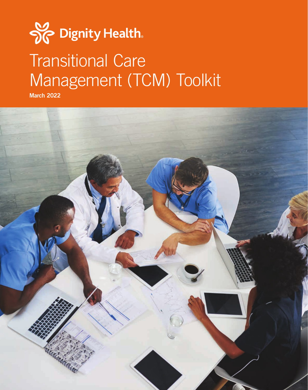# Sc Dignity Health. Transitional Care Management (TCM) Toolkit

March 2022

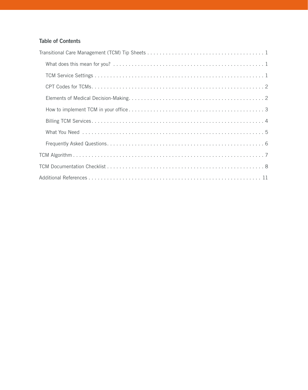## Table of Contents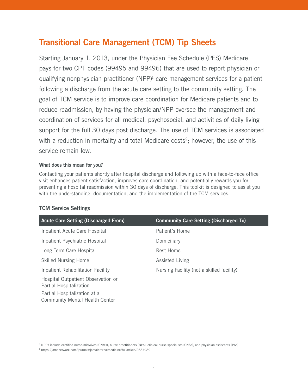# <span id="page-2-0"></span>Transitional Care Management (TCM) Tip Sheets

Starting January 1, 2013, under the Physician Fee Schedule (PFS) Medicare pays for two CPT codes (99495 and 99496) that are used to report physician or qualifying nonphysician practitioner  $(NPP)^1$  care management services for a patient following a discharge from the acute care setting to the community setting. The goal of TCM service is to improve care coordination for Medicare patients and to reduce readmission, by having the physician/NPP oversee the management and coordination of services for all medical, psychosocial, and activities of daily living support for the full 30 days post discharge. The use of TCM services is associated with a reduction in mortality and total Medicare costs<sup>2</sup>; however, the use of this service remain low.

#### <span id="page-2-1"></span>What does this mean for you?

Contacting your patients shortly after hospital discharge and following up with a face-to-face office visit enhances patient satisfaction, improves care coordination, and potentially rewards you for preventing a hospital readmission within 30 days of discharge. This toolkit is designed to assist you with the understanding, documentation, and the implementation of the TCM services.

#### <span id="page-2-2"></span>TCM Service Settings

| <b>Acute Care Setting (Discharged From)</b>                           | <b>Community Care Setting (Discharged To)</b> |
|-----------------------------------------------------------------------|-----------------------------------------------|
| Inpatient Acute Care Hospital                                         | Patient's Home                                |
| Inpatient Psychiatric Hospital                                        | Domiciliary                                   |
| Long Term Care Hospital                                               | Rest Home                                     |
| <b>Skilled Nursing Home</b>                                           | <b>Assisted Living</b>                        |
| Inpatient Rehabilitation Facility                                     | Nursing Facility (not a skilled facility)     |
| Hospital Outpatient Observation or<br>Partial Hospitalization         |                                               |
| Partial Hospitalization at a<br><b>Community Mental Health Center</b> |                                               |

<sup>1</sup> NPPs include certified nurse-midwives (CNMs), nurse practitioners (NPs), clinical nurse specialists (CNSs), and physician assistants (PAs)

2 https://jamanetwork.com/journals/jamainternalmedicine/fullarticle/2687989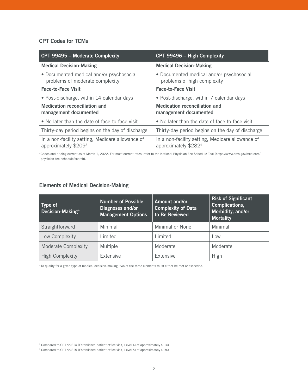#### <span id="page-3-0"></span>CPT Codes for TCMs

| CPT 99495 - Moderate Complexity                                             | CPT 99496 - High Complexity                                              |
|-----------------------------------------------------------------------------|--------------------------------------------------------------------------|
| <b>Medical Decision-Making</b>                                              | <b>Medical Decision-Making</b>                                           |
| • Documented medical and/or psychosocial<br>problems of moderate complexity | • Documented medical and/or psychosocial<br>problems of high complexity  |
| <b>Face-to-Face Visit</b>                                                   | <b>Face-to-Face Visit</b>                                                |
| • Post-discharge, within 14 calendar days                                   | • Post-discharge, within 7 calendar days                                 |
| Medication reconciliation and<br>management documented                      | Medication reconciliation and<br>management documented                   |
| • No later than the date of face-to-face visit                              | • No later than the date of face-to-face visit                           |
| Thirty-day period begins on the day of discharge                            | Thirty-day period begins on the day of discharge                         |
| In a non-facility setting, Medicare allowance of<br>approximately $$2093$   | In a non-facility setting, Medicare allowance of<br>approximately \$2824 |

\*Codes and pricing current as of March 1, 2022. For most current rates, refer to the National Physician Fee Schedule Tool (https://www.cms.gov/medicare/ physician-fee-schedule/search).

### <span id="page-3-1"></span>Elements of Medical Decision-Making

| Type of<br>Decision-Making* | Number of Possible<br>Diagnoses and/or<br><b>Management Options</b> | Amount and/or<br><b>Complexity of Data</b><br>to Be Reviewed | <b>Risk of Significant</b><br>Complications,<br>Morbidity, and/or<br><b>Mortality</b> |
|-----------------------------|---------------------------------------------------------------------|--------------------------------------------------------------|---------------------------------------------------------------------------------------|
| Straightforward             | Minimal                                                             | Minimal or None                                              | Minimal                                                                               |
| Low Complexity              | Limited                                                             | Limited                                                      | Low                                                                                   |
| <b>Moderate Complexity</b>  | Multiple                                                            | Moderate                                                     | Moderate                                                                              |
| <b>High Complexity</b>      | Extensive                                                           | Extensive                                                    | High                                                                                  |

\*To qualify for a given type of medical decision-making, two of the three elements must either be met or exceeded.

<sup>&</sup>lt;sup>3</sup> Compared to CPT 99214 (Established patient office visit, Level 4) of approximately \$130

<sup>4</sup> Compared to CPT 99215 (Established patient office visit, Level 5) of approximately \$183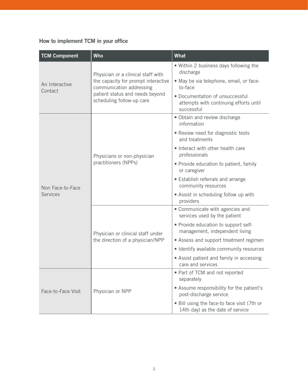## <span id="page-4-0"></span>How to implement TCM in your office

| <b>TCM Component</b>      | <b>Who</b>                                                                                                                                                            | What                                                                                                                                                                                                 |  |  |  |  |
|---------------------------|-----------------------------------------------------------------------------------------------------------------------------------------------------------------------|------------------------------------------------------------------------------------------------------------------------------------------------------------------------------------------------------|--|--|--|--|
| An Interactive<br>Contact | Physician or a clinical staff with<br>the capacity for prompt interactive<br>communication addressing<br>patient status and needs beyond<br>scheduling follow-up care | . Within 2 business days following the<br>discharge<br>· May be via telephone, email, or face-<br>to-face<br>· Documentation of unsuccessful<br>attempts with continuing efforts until<br>successful |  |  |  |  |
|                           |                                                                                                                                                                       | · Obtain and review discharge<br>information<br>• Review need for diagnostic tests<br>and treatments                                                                                                 |  |  |  |  |
|                           | Physicians or non-physician<br>practitioners (NPPs)                                                                                                                   | • Interact with other health care<br>professionals                                                                                                                                                   |  |  |  |  |
|                           |                                                                                                                                                                       | • Provide education to patient, family<br>or caregiver                                                                                                                                               |  |  |  |  |
| Non Face-to-Face          |                                                                                                                                                                       | • Establish referrals and arrange<br>community resources                                                                                                                                             |  |  |  |  |
| <b>Services</b>           |                                                                                                                                                                       | • Assist in scheduling follow up with<br>providers                                                                                                                                                   |  |  |  |  |
|                           |                                                                                                                                                                       | • Communicate with agencies and<br>services used by the patient                                                                                                                                      |  |  |  |  |
|                           | Physician or clinical staff under                                                                                                                                     | • Provide education to support self-<br>management, independent living                                                                                                                               |  |  |  |  |
|                           | the direction of a physician/NPP                                                                                                                                      | • Assess and support treatment regimen                                                                                                                                                               |  |  |  |  |
|                           |                                                                                                                                                                       | · Identify available community resources                                                                                                                                                             |  |  |  |  |
|                           |                                                                                                                                                                       | • Assist patient and family in accessing<br>care and services                                                                                                                                        |  |  |  |  |
| Face-to-Face Visit        |                                                                                                                                                                       | • Part of TCM and not reported<br>separately                                                                                                                                                         |  |  |  |  |
|                           | Physician or NPP                                                                                                                                                      | • Assume responsibility for the patient's<br>post-discharge service                                                                                                                                  |  |  |  |  |
|                           |                                                                                                                                                                       | . Bill using the face-to face visit (7th or<br>14th day) as the date of service                                                                                                                      |  |  |  |  |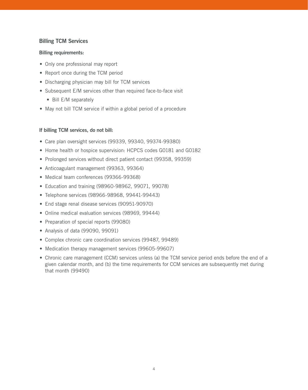#### <span id="page-5-0"></span>Billing TCM Services

#### Billing requirements:

- Only one professional may report
- Report once during the TCM period
- Discharging physician may bill for TCM services
- Subsequent E/M services other than required face-to-face visit
	- Bill E/M separately
- May not bill TCM service if within a global period of a procedure

#### If billing TCM services, do not bill:

- Care plan oversight services (99339, 99340, 99374-99380)
- Home health or hospice supervision: HCPCS codes G0181 and G0182
- Prolonged services without direct patient contact (99358, 99359)
- Anticoagulant management (99363, 99364)
- Medical team conferences (99366-99368)
- Education and training (98960-98962, 99071, 99078)
- Telephone services (98966-98968, 99441-99443)
- End stage renal disease services (90951-90970)
- Online medical evaluation services (98969, 99444)
- Preparation of special reports (99080)
- Analysis of data (99090, 99091)
- Complex chronic care coordination services (99487, 99489)
- Medication therapy management services (99605-99607)
- Chronic care management (CCM) services unless (a) the TCM service period ends before the end of a given calendar month, and (b) the time requirements for CCM services are subsequently met during that month (99490)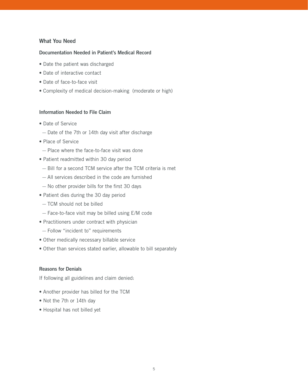#### <span id="page-6-0"></span>What You Need

#### Documentation Needed in Patient's Medical Record

- Date the patient was discharged
- Date of interactive contact
- Date of face-to-face visit
- Complexity of medical decision-making (moderate or high)

#### Information Needed to File Claim

- Date of Service
- Date of the 7th or 14th day visit after discharge
- Place of Service
- Place where the face-to-face visit was done
- Patient readmitted within 30 day period
- Bill for a second TCM service after the TCM criteria is met
- All services described in the code are furnished
- No other provider bills for the first 30 days
- Patient dies during the 30 day period
- TCM should not be billed
- Face-to-face visit may be billed using E/M code
- Practitioners under contract with physician
- Follow "incident to" requirements
- Other medically necessary billable service
- Other than services stated earlier, allowable to bill separately

#### Reasons for Denials

If following all guidelines and claim denied:

- Another provider has billed for the TCM
- Not the 7th or 14th day
- Hospital has not billed yet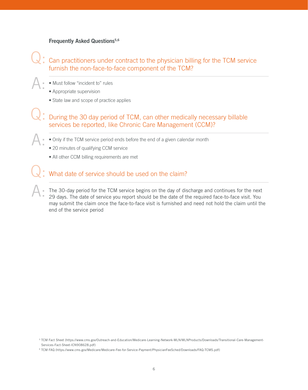#### <span id="page-7-0"></span>Frequently Asked Questions<sup>5,6</sup>

## Can practitioners under contract to the physician billing for the TCM service furnish the non-face-to-face component of the TCM? Q:

- Must follow "incident to" rules A:
	- Appropriate supervision
	- State law and scope of practice applies

During the 30 day period of TCM, can other medically necessary billable services be reported, like Chronic Care Management (CCM)? Q:

- Only if the TCM service period ends before the end of a given calendar month A:
	- 20 minutes of qualifying CCM service
	- All other CCM billing requirements are met

# What date of service should be used on the claim? Q:

The 30-day period for the TCM service begins on the day of discharge and continues for the next 29 days. The date of service you report should be the date of the required face-to-face visit. You may submit the claim once the face-to-face visit is furnished and need not hold the claim until the end of the service period A:

<sup>5</sup> TCM Fact Sheet (https://www.cms.gov/Outreach-and-Education/Medicare-Learning-Network-MLN/MLNProducts/Downloads/Transitional-Care-Management-Services-Fact-Sheet-ICN908628.pdf)

<sup>6</sup> TCM FAQ (https://www.cms.gov/Medicare/Medicare-Fee-for-Service-Payment/PhysicianFeeSched/Downloads/FAQ-TCMS.pdf)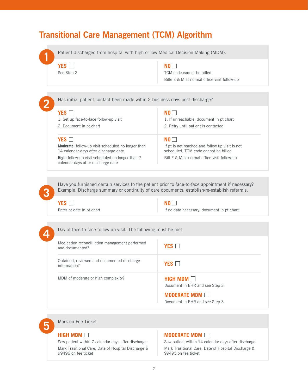# <span id="page-8-0"></span>Transitional Care Management (TCM) Algorithm

**1** Patient discharged from hospital with high or low Medical Decision Making (MDM).

## **YES**

See Step 2

#### **NO**

TCM code cannot be billed Bille E & M at normal office visit follow-up

| YES                                                                                                | NO I I                                                                                  |
|----------------------------------------------------------------------------------------------------|-----------------------------------------------------------------------------------------|
| 1. Set up face-to-face follow-up visit                                                             | 1. If unreachable, document in pt chart                                                 |
| 2. Document in pt chart                                                                            | 2. Retry until patient is contacted                                                     |
|                                                                                                    |                                                                                         |
| YES                                                                                                | NO I I                                                                                  |
| <b>Moderate:</b> follow-up visit scheduled no longer than<br>14 calendar days after discharge date | If pt is not reached and follow up visit is not<br>scheduled. TCM code cannot be billed |
| <b>High:</b> follow-up visit scheduled no longer than 7<br>calendar days after discharge date      | Bill E & M at normal office visit follow-up                                             |

Have you furnished certain services to the patient prior to face-to-face appointment if necessary? Example: Discharge summary or continuity of care documents, establish/re-establish referrals.

**YES** Enter pt date in pt chart **NO**

If no data necessary, document in pt chart

**3**

**4** Day of face-to-face follow up visit. The following must be met.

| Medication reconcilliation management performed<br>and documented? | YES <b>I</b>                                                                    |
|--------------------------------------------------------------------|---------------------------------------------------------------------------------|
| Obtained, reviewed and documented discharge<br>information?        | YES <b>I</b>                                                                    |
| MDM of moderate or high complexity?                                | <b>HIGH MDM</b> $\Box$<br>Document in EHR and see Step 3<br><b>MODERATE MDM</b> |
|                                                                    | Document in EHR and see Step 3                                                  |

**5** Mark on Fee Ticket

#### **HIGH MDM**

Saw patient within 7 calendar days after discharge: Mark Trasitional Care, Date of Hospital Discharge & 99496 on fee ticket

#### **MODERATE MDM**

Saw patient within 14 calendar days after discharge: Mark Trasitional Care, Date of Hospital Discharge & 99495 on fee ticket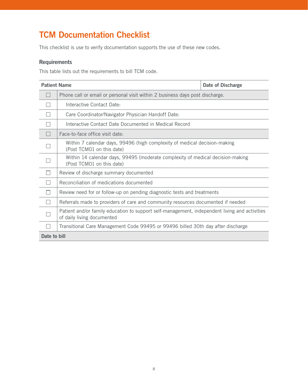# <span id="page-9-0"></span>TCM Documentation Checklist

This checklist is use to verify documentation supports the use of these new codes.

#### **Requirements**

This table lists out the requirements to bill TCM code.

| <b>Patient Name</b>      |                                                                                                                             | Date of Discharge |  |  |
|--------------------------|-----------------------------------------------------------------------------------------------------------------------------|-------------------|--|--|
| H                        | Phone call or email or personal visit within 2 business days post discharge.                                                |                   |  |  |
|                          | Interactive Contact Date:                                                                                                   |                   |  |  |
|                          | Care Coordinator/Navigator Physician Handoff Date:                                                                          |                   |  |  |
|                          | Interactive Contact Date Documented in Medical Record                                                                       |                   |  |  |
| H                        | Face-to-face office visit date:                                                                                             |                   |  |  |
|                          | Within 7 calendar days, 99496 (high complexity of medical decision-making<br>(Post TCMO1 on this date)                      |                   |  |  |
|                          | Within 14 calendar days, 99495 (moderate complexity of medical decision-making<br>(Post TCMO1 on this date)                 |                   |  |  |
|                          | Review of discharge summary documented                                                                                      |                   |  |  |
|                          | Reconciliation of medications documented                                                                                    |                   |  |  |
|                          | Review need for or follow-up on pending diagnostic tests and treatments                                                     |                   |  |  |
| $\overline{\phantom{a}}$ | Referrals made to providers of care and community resources documented if needed                                            |                   |  |  |
|                          | Patient and/or family education to support self-management, independent living and activities<br>of daily living documented |                   |  |  |
|                          | Transitional Care Management Code 99495 or 99496 billed 30th day after discharge                                            |                   |  |  |
| Date to bill             |                                                                                                                             |                   |  |  |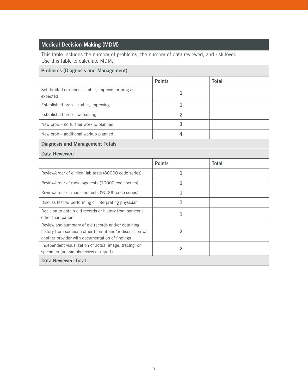# Medical Decision-Making (MDM)

This table includes the number of problems, the number of data reviewed, and risk level. Use this table to calculate MDM.

#### Problems (Diagnosis and Management)

|                                                                                                                                                                  | <b>Points</b>  | <b>Total</b> |
|------------------------------------------------------------------------------------------------------------------------------------------------------------------|----------------|--------------|
|                                                                                                                                                                  |                |              |
| Self-limited or minor – stable, improve, or prog as<br>expected                                                                                                  | 1              |              |
| Established prob - stable, improving                                                                                                                             | 1              |              |
| Established prob - worsening                                                                                                                                     | $\overline{2}$ |              |
| New prob – no further workup planned                                                                                                                             | 3              |              |
| New prob - additional workup planned                                                                                                                             | 4              |              |
| <b>Diagnosis and Management Totals</b>                                                                                                                           |                |              |
| Data Reviewed                                                                                                                                                    |                |              |
|                                                                                                                                                                  | <b>Points</b>  | <b>Total</b> |
| Review/order of clinical lab tests (80000 code series)                                                                                                           | 1              |              |
| Review/order of radiology tests (70000 code series)                                                                                                              | 1              |              |
| Review/order of medicine tests (90000 code series)                                                                                                               | 1              |              |
| Discuss test w/ performing or interpreting physician                                                                                                             | 1              |              |
| Decision to obtain old records or history from someone<br>other than patient                                                                                     | $\mathbf{1}$   |              |
| Review and summary of old records and/or obtaining<br>history from someone other than pt and/or discussion w/<br>another provider with documentation of findings | $\overline{2}$ |              |
| Independent visualization of actual image, tracing, or<br>specimen (not simply review of report)                                                                 | $\overline{2}$ |              |
| Data Reviewed Total                                                                                                                                              |                |              |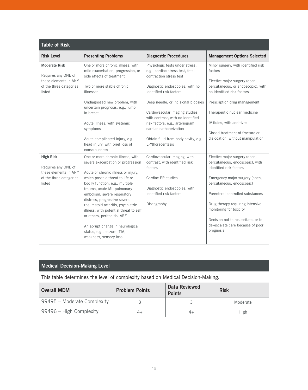| <b>Table of Risk</b>                                                 |                                                                                                                                                                          |                                                                                                |                                                                                                   |
|----------------------------------------------------------------------|--------------------------------------------------------------------------------------------------------------------------------------------------------------------------|------------------------------------------------------------------------------------------------|---------------------------------------------------------------------------------------------------|
| <b>Risk Level</b>                                                    | <b>Presenting Problems</b>                                                                                                                                               | <b>Diagnostic Procedures</b>                                                                   | <b>Management Options Selected</b>                                                                |
| <b>Moderate Risk</b><br>Requires any ONE of<br>these elements in ANY | One or more chronic illness, with<br>mild exacerbation, progression, or<br>side effects of treatment                                                                     | Physiologic tests under stress,<br>e.g., cardiac stress test, fetal<br>contraction stress test | Minor surgery, with identified risk<br>factors<br>Elective major surgery (open,                   |
| of the three categories<br>listed                                    | Two or more stable chronic<br>illnesses                                                                                                                                  | Diagnostic endoscopies, with no<br>identified risk factors                                     | percutaneous, or endoscopic), with<br>no identified risk factors                                  |
|                                                                      | Undiagnosed new problem, with<br>uncertain prognosis, e.g., lump                                                                                                         | Deep needle, or incisional biopsies                                                            | Prescription drug management                                                                      |
|                                                                      | in breast                                                                                                                                                                | Cardiovascular imaging studies,<br>with contrast, with no identified                           | Therapeutic nuclear medicine                                                                      |
|                                                                      | Acute illness, with systemic<br>symptoms                                                                                                                                 | risk factors, e.g., arteriogram,<br>cardiac catheterization                                    | IV fluids, with additives                                                                         |
|                                                                      | Acute complicated injury, e.g.,<br>head injury, with brief loss of<br>consciousness                                                                                      | Obtain fluid from body cavity, e.g.,<br>LP/thoracentesis                                       | Closed treatment of fracture or<br>dislocation, without manipulation                              |
| <b>High Risk</b><br>Requires any ONE of                              | One or more chronic illness, with<br>severe exacerbation or progression                                                                                                  | Cardiovascular imaging, with<br>contrast, with identified risk<br>factors                      | Elective major surgery (open,<br>percutaneous, endoscopic), with<br>identified risk factors       |
| these elements in ANY<br>of the three categories<br>listed           | Acute or chronic illness or injury,<br>which poses a threat to life or<br>bodily function, e.g., multiple<br>trauma, acute MI, pulmonary<br>embolism, severe respiratory | Cardiac EP studies<br>Diagnostic endoscopies, with<br>identified risk factors                  | Emergency major surgery (open,<br>percutaneous, endoscopic)<br>Parenteral controlled substances   |
|                                                                      | distress, progressive severe<br>rheumatoid arthritis, psychiatric<br>illness, with potential threat to self<br>or others, peritonitis, ARF                               | Discography                                                                                    | Drug therapy requiring intensive<br>monitoring for toxicity<br>Decision not to resuscitate, or to |
|                                                                      | An abrupt change in neurological<br>status, e.g., seizure, TIA,<br>weakness, sensory loss                                                                                |                                                                                                | de-escalate care because of poor<br>prognosis                                                     |

# Medical Decision-Making Level

This table determines the level of complexity based on Medical Decision-Making.

| <b>Overall MDM</b>          | <b>Problem Points</b> | Data Reviewed<br><b>Points</b> | <b>Risk</b> |  |  |
|-----------------------------|-----------------------|--------------------------------|-------------|--|--|
| 99495 – Moderate Complexity |                       |                                | Moderate    |  |  |
| 99496 – High Complexity     | 4+                    |                                | High        |  |  |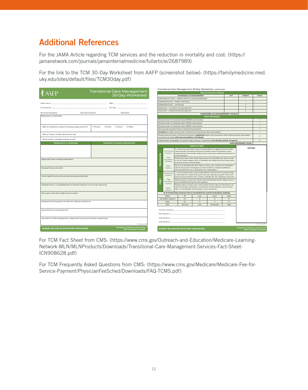# <span id="page-12-0"></span>Additional References

For the JAMA Article regarding TCM services and the reduction in mortality and cost: (https:// jamanetwork.com/journals/jamainternalmedicine/fullarticle/2687989)

For the link to the TCM 30-Day Worksheet from AAFP (screenshot below): (https://familymedicine.med. uky.edu/sites/default/files/TCM30day.pdf)

|                                                                                                                      |                           |                                     | Transitional Care Management 30-Day Worksheet, continued                                                                                                                                                                                                                                                                                        |                                                                          |                                                                                                                                                                                                                                                                                                                                                                                                                                                                                                                                                                                                                                            |                      |                                        |                |                                                                |                  |
|----------------------------------------------------------------------------------------------------------------------|---------------------------|-------------------------------------|-------------------------------------------------------------------------------------------------------------------------------------------------------------------------------------------------------------------------------------------------------------------------------------------------------------------------------------------------|--------------------------------------------------------------------------|--------------------------------------------------------------------------------------------------------------------------------------------------------------------------------------------------------------------------------------------------------------------------------------------------------------------------------------------------------------------------------------------------------------------------------------------------------------------------------------------------------------------------------------------------------------------------------------------------------------------------------------------|----------------------|----------------------------------------|----------------|----------------------------------------------------------------|------------------|
| ₹Α                                                                                                                   |                           | <b>Transitional Care Management</b> | <b>Medical Decision Making</b>                                                                                                                                                                                                                                                                                                                  |                                                                          |                                                                                                                                                                                                                                                                                                                                                                                                                                                                                                                                                                                                                                            |                      |                                        |                |                                                                |                  |
|                                                                                                                      |                           | 30-Day Worksheet                    |                                                                                                                                                                                                                                                                                                                                                 | <b>DIAGNOSIS and MANAGEMENT</b>                                          |                                                                                                                                                                                                                                                                                                                                                                                                                                                                                                                                                                                                                                            |                      | OTY                                    | <b>POINTS</b>  | <b>TOTAL</b>                                                   |                  |
|                                                                                                                      |                           |                                     |                                                                                                                                                                                                                                                                                                                                                 | Self-limited or minor - stable, improv, or prog as expected              |                                                                                                                                                                                                                                                                                                                                                                                                                                                                                                                                                                                                                                            |                      |                                        | $\overline{1}$ |                                                                |                  |
|                                                                                                                      |                           |                                     |                                                                                                                                                                                                                                                                                                                                                 | Established prob - stable, improving                                     |                                                                                                                                                                                                                                                                                                                                                                                                                                                                                                                                                                                                                                            |                      |                                        | $\overline{1}$ |                                                                |                  |
| Patient name:                                                                                                        | DOB:                      |                                     |                                                                                                                                                                                                                                                                                                                                                 | Established prob - worsening                                             |                                                                                                                                                                                                                                                                                                                                                                                                                                                                                                                                                                                                                                            |                      |                                        |                | $\overline{2}$                                                 |                  |
| D/C physician:                                                                                                       |                           |                                     |                                                                                                                                                                                                                                                                                                                                                 |                                                                          | New prob - no further workup planned                                                                                                                                                                                                                                                                                                                                                                                                                                                                                                                                                                                                       |                      |                                        |                | $\overline{\mathbf{3}}$                                        |                  |
|                                                                                                                      |                           |                                     |                                                                                                                                                                                                                                                                                                                                                 |                                                                          | New prob - additional workup planned                                                                                                                                                                                                                                                                                                                                                                                                                                                                                                                                                                                                       |                      |                                        |                | $\Delta$                                                       |                  |
| Records requested:                                                                                                   | Records received:         | Reviewed:                           |                                                                                                                                                                                                                                                                                                                                                 |                                                                          |                                                                                                                                                                                                                                                                                                                                                                                                                                                                                                                                                                                                                                            |                      | <b>DIAGNOSIS and MANAGEMENT TOTALS</b> |                |                                                                | $\alpha$         |
| Diagnoses on discharge:                                                                                              |                           |                                     |                                                                                                                                                                                                                                                                                                                                                 |                                                                          |                                                                                                                                                                                                                                                                                                                                                                                                                                                                                                                                                                                                                                            |                      | <b>DATA REVIEWED</b>                   |                |                                                                |                  |
|                                                                                                                      |                           |                                     |                                                                                                                                                                                                                                                                                                                                                 |                                                                          | Review/order of clinical lab tests (80000 code series)                                                                                                                                                                                                                                                                                                                                                                                                                                                                                                                                                                                     |                      |                                        |                |                                                                | 1                |
|                                                                                                                      |                           |                                     |                                                                                                                                                                                                                                                                                                                                                 |                                                                          | Review/order of radiology tests (70000 code series)                                                                                                                                                                                                                                                                                                                                                                                                                                                                                                                                                                                        |                      |                                        |                |                                                                | $\mathbf{1}$     |
|                                                                                                                      | □ Phone<br><b>D</b> Email | □ Direct                            |                                                                                                                                                                                                                                                                                                                                                 |                                                                          | Review/order of medicine tests (90000 code series)                                                                                                                                                                                                                                                                                                                                                                                                                                                                                                                                                                                         |                      |                                        |                |                                                                | $\mathbf{1}$     |
| Date of interactive contact (2 business days post D/C):                                                              |                           | □ Other                             |                                                                                                                                                                                                                                                                                                                                                 |                                                                          | Discuss test w/performing or interpreting physician                                                                                                                                                                                                                                                                                                                                                                                                                                                                                                                                                                                        |                      |                                        |                |                                                                | $\mathbf{1}$     |
|                                                                                                                      |                           |                                     |                                                                                                                                                                                                                                                                                                                                                 |                                                                          | Decision to obtain old records or history from someone other than patient                                                                                                                                                                                                                                                                                                                                                                                                                                                                                                                                                                  |                      |                                        |                |                                                                | $\mathbf{1}$     |
| Date of 7-day or 14-day, face-to-face visit:                                                                         |                           |                                     |                                                                                                                                                                                                                                                                                                                                                 |                                                                          | Review and summary of old records and/or <i>obtaining</i> history from someone other than pt and/or discussion                                                                                                                                                                                                                                                                                                                                                                                                                                                                                                                             |                      |                                        |                |                                                                | $\overline{2}$   |
| Family and/or caretaker present at visit:                                                                            |                           |                                     |                                                                                                                                                                                                                                                                                                                                                 |                                                                          | w/another provider with documentation of findings                                                                                                                                                                                                                                                                                                                                                                                                                                                                                                                                                                                          |                      |                                        |                |                                                                |                  |
|                                                                                                                      |                           |                                     |                                                                                                                                                                                                                                                                                                                                                 |                                                                          | Independent visualization of actual image, tracing, or specimen (not simply review of report)                                                                                                                                                                                                                                                                                                                                                                                                                                                                                                                                              |                      |                                        |                |                                                                | $\overline{2}$   |
| Medications on discharge                                                                                             |                           | Medication changes/adjustments      |                                                                                                                                                                                                                                                                                                                                                 |                                                                          |                                                                                                                                                                                                                                                                                                                                                                                                                                                                                                                                                                                                                                            |                      |                                        |                | <b>DATA REVIEWED TOTAL</b>                                     |                  |
|                                                                                                                      |                           |                                     |                                                                                                                                                                                                                                                                                                                                                 |                                                                          |                                                                                                                                                                                                                                                                                                                                                                                                                                                                                                                                                                                                                                            | <b>TABLE OF RISK</b> |                                        |                | NOTES:                                                         |                  |
| Diagnostic tests reviewed/disposition:<br>Disease/illness education:                                                 |                           |                                     | Moderate                                                                                                                                                                                                                                                                                                                                        | Presenting<br>Problem<br>Diag<br>Procedure<br>Ordered<br>Mamt<br>Options | 1+ chronic ill w/milk exac, prog, or tx side effects, 2+ stable chronic ill, Undx<br>new prob with uncertain prog (lump in breast), Acute ill w/systemic symp<br>(pyeloephritis, Pneumonitis, colitis), Acute comp injury (head inj w/brief loss of<br>consciousness)<br>Physiologic tests under stress, Diag endos w/no identified risk, Deep needle<br>or inc bx, Cardio imag w/cont, no identified risk, Obtain fluid from body cavity<br>(lumbar puncture, thoracentesis)<br>Minor sx w identified risk. Elec major sx (open, perc, endos) w/no identified<br>risk, Rx drug mgmt, Therapeutic nuclear medicine, IV fluids w/additives, |                      |                                        |                |                                                                |                  |
| Home health/community services discussion/referrals:                                                                 |                           |                                     | Closed treatment of fx or dislocation w/o manipulation<br>1+ chr ill w/severe exac, prog, tx side effects; Acute/chr ill or inj posing threat<br>Presenting<br>to life/bodily func (trauma, MI, pulm emb, sev resp dist, prog sev rheum arth,<br>Problem<br>psych ill w/pot threat to self or others, renal fail); Sz, TIA, weakness, sens loss |                                                                          |                                                                                                                                                                                                                                                                                                                                                                                                                                                                                                                                                                                                                                            |                      |                                        |                |                                                                |                  |
|                                                                                                                      |                           |                                     | 들                                                                                                                                                                                                                                                                                                                                               | Diag<br>Procedure                                                        | Cardio img w/cont and risk; Cardio electrophysiological tests; Diag endosco-<br>pies w/identified risk factors; Discography                                                                                                                                                                                                                                                                                                                                                                                                                                                                                                                |                      |                                        |                |                                                                |                  |
| Establishment or re-establishment of referral orders for community resources:                                        |                           |                                     |                                                                                                                                                                                                                                                                                                                                                 | Ordered<br>Mamt<br>Options                                               | Elective major sx (open, perc, endo w/risk); Emerg major sx; Parenteral cont<br>subs: Rx therapy w/intensive monitoring for toxicity: Decision not to resusci-<br>tate or to de-escalate care because of poor prognosis                                                                                                                                                                                                                                                                                                                                                                                                                    |                      |                                        |                |                                                                |                  |
| Discussion with other health care providers:                                                                         |                           |                                     |                                                                                                                                                                                                                                                                                                                                                 |                                                                          | (2 of 3 elements must be met or exceeded for a level of decision making)                                                                                                                                                                                                                                                                                                                                                                                                                                                                                                                                                                   |                      |                                        |                |                                                                |                  |
|                                                                                                                      |                           |                                     |                                                                                                                                                                                                                                                                                                                                                 | MDM:                                                                     | SE                                                                                                                                                                                                                                                                                                                                                                                                                                                                                                                                                                                                                                         | Low                  | Mod                                    | High           |                                                                |                  |
|                                                                                                                      |                           |                                     |                                                                                                                                                                                                                                                                                                                                                 | DX MGMT Options                                                          | $0 - 1$                                                                                                                                                                                                                                                                                                                                                                                                                                                                                                                                                                                                                                    | $\overline{2}$       | 3                                      | $4+$           |                                                                |                  |
| Assessment and support of treatment regimen adherence:                                                               |                           |                                     |                                                                                                                                                                                                                                                                                                                                                 | Data                                                                     | $0 - 1$                                                                                                                                                                                                                                                                                                                                                                                                                                                                                                                                                                                                                                    | $\overline{2}$       | 3                                      | $4+$           |                                                                |                  |
|                                                                                                                      |                           |                                     |                                                                                                                                                                                                                                                                                                                                                 | Risk                                                                     | Minimal                                                                                                                                                                                                                                                                                                                                                                                                                                                                                                                                                                                                                                    | Low                  | Moderate                               | High           |                                                                |                  |
| Appointments coordinated with:<br>Education for self-management, independent living, and activities of daily living: |                           |                                     | Physician signature:<br>Staff signature:<br>Staff signature:                                                                                                                                                                                                                                                                                    |                                                                          |                                                                                                                                                                                                                                                                                                                                                                                                                                                                                                                                                                                                                                            |                      |                                        |                |                                                                |                  |
|                                                                                                                      |                           | TCM January 201                     |                                                                                                                                                                                                                                                                                                                                                 | Staff signature:                                                         |                                                                                                                                                                                                                                                                                                                                                                                                                                                                                                                                                                                                                                            |                      |                                        |                |                                                                | TOM January 2013 |
|                                                                                                                      |                           | Physician completes colored areas   |                                                                                                                                                                                                                                                                                                                                                 |                                                                          |                                                                                                                                                                                                                                                                                                                                                                                                                                                                                                                                                                                                                                            |                      |                                        |                |                                                                |                  |
| SUBMIT BILLING 30 DAYS POST DISCHARGE.                                                                               |                           | Staff completes remainde            |                                                                                                                                                                                                                                                                                                                                                 |                                                                          | SUBMIT BILLING 30 DAYS POST DISCHARGE.                                                                                                                                                                                                                                                                                                                                                                                                                                                                                                                                                                                                     |                      |                                        |                | Physician completes colored areas<br>Staff completes remainder |                  |

For TCM Fact Sheet from CMS: (https://www.cms.gov/Outreach-and-Education/Medicare-Learning-Network-MLN/MLNProducts/Downloads/Transitional-Care-Management-Services-Fact-Sheet-ICN908628.pdf)

For TCM Frequently Asked Questions from CMS: (https://www.cms.gov/Medicare/Medicare-Fee-for-Service-Payment/PhysicianFeeSched/Downloads/FAQ-TCMS.pdf)